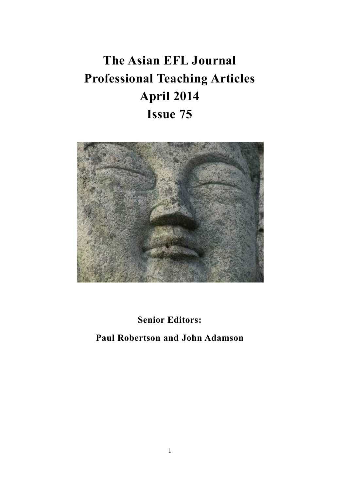# **The Asian EFL Journal Professional Teaching Articles April 2014 Issue 75**



**Senior Editors:** 

**Paul Robertson and John Adamson**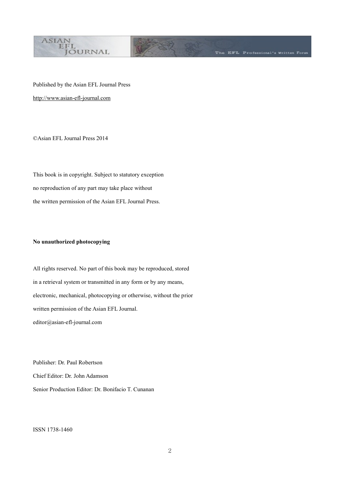

The EFL Professional's Written Forum

Published by the Asian EFL Journal Press [http://www.asian-efl-journal.com](http://www.asian-efl-journal.com/)

©Asian EFL Journal Press 2014

This book is in copyright. Subject to statutory exception no reproduction of any part may take place without the written permission of the Asian EFL Journal Press.

#### **No unauthorized photocopying**

All rights reserved. No part of this book may be reproduced, stored in a retrieval system or transmitted in any form or by any means, electronic, mechanical, photocopying or otherwise, without the prior written permission of the Asian EFL Journal. editor@asian-efl-journal.com

Publisher: Dr. Paul Robertson Chief Editor: Dr. John Adamson Senior Production Editor: Dr. Bonifacio T. Cunanan

ISSN 1738-1460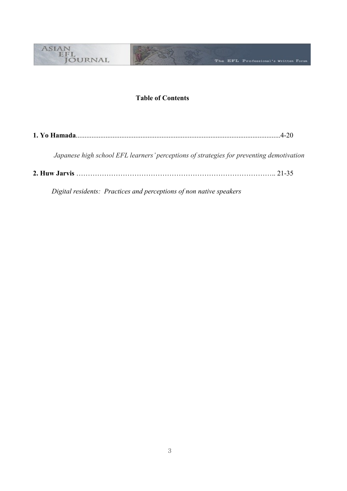

# **Table of Contents**

|--|--|

*Japanese high school EFL learners' perceptions of strategies for preventing demotivation*

**2. Huw Jarvis** ………………………………………………………………………….. 21-35

 *Digital residents: Practices and perceptions of non native speakers*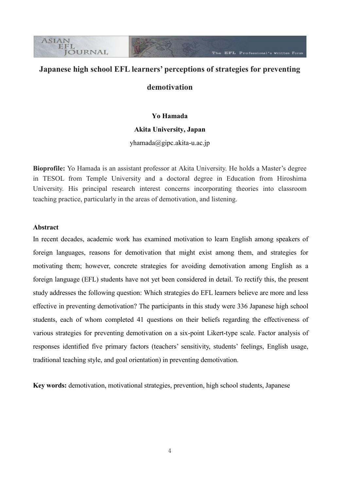# **Japanese high school EFL learners' perceptions of strategies for preventing**

The EFL Professional's Written Form

### **demotivation**

#### **Yo Hamada**

#### **Akita University, Japan**

[yhamada@gipc.akita-u.ac.jp](mailto:yhamada@gipc.akita-u.ac.jp)

**Bioprofile:** Yo Hamada is an assistant professor at Akita University. He holds a Master's degree in TESOL from Temple University and a doctoral degree in Education from Hiroshima University. His principal research interest concerns incorporating theories into classroom teaching practice, particularly in the areas of demotivation, and listening.

#### **Abstract**

**ASIAN** EFL

**JÖURNAL** 

In recent decades, academic work has examined motivation to learn English among speakers of foreign languages, reasons for demotivation that might exist among them, and strategies for motivating them; however, concrete strategies for avoiding demotivation among English as a foreign language (EFL) students have not yet been considered in detail. To rectify this, the present study addresses the following question: Which strategies do EFL learners believe are more and less effective in preventing demotivation? The participants in this study were 336 Japanese high school students, each of whom completed 41 questions on their beliefs regarding the effectiveness of various strategies for preventing demotivation on a six-point Likert-type scale. Factor analysis of responses identified five primary factors (teachers' sensitivity, students' feelings, English usage, traditional teaching style, and goal orientation) in preventing demotivation.

**Key words:** demotivation, motivational strategies, prevention, high school students, Japanese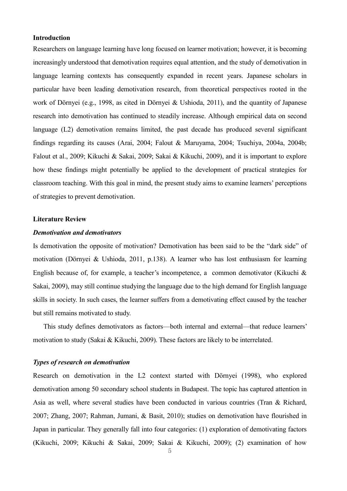#### **Introduction**

Researchers on language learning have long focused on learner motivation; however, it is becoming increasingly understood that demotivation requires equal attention, and the study of demotivation in language learning contexts has consequently expanded in recent years. Japanese scholars in particular have been leading demotivation research, from theoretical perspectives rooted in the work of Dörnyei (e.g., 1998, as cited in Dörnyei & Ushioda, 2011), and the quantity of Japanese research into demotivation has continued to steadily increase. Although empirical data on second language (L2) demotivation remains limited, the past decade has produced several significant findings regarding its causes (Arai, 2004; Falout & Maruyama, 2004; Tsuchiya, 2004a, 2004b; Falout et al., 2009; Kikuchi & Sakai, 2009; Sakai & Kikuchi, 2009), and it is important to explore how these findings might potentially be applied to the development of practical strategies for classroom teaching. With this goal in mind, the present study aims to examine learners' perceptions of strategies to prevent demotivation.

#### **Literature Review**

#### *Demotivation and demotivators*

Is demotivation the opposite of motivation? Demotivation has been said to be the "dark side" of motivation (Dörnyei & Ushioda, 2011, p.138). A learner who has lost enthusiasm for learning English because of, for example, a teacher's incompetence, a common demotivator (Kikuchi & Sakai, 2009), may still continue studying the language due to the high demand for English language skills in society. In such cases, the learner suffers from a demotivating effect caused by the teacher but still remains motivated to study.

This study defines demotivators as factors—both internal and external—that reduce learners' motivation to study (Sakai & Kikuchi, 2009). These factors are likely to be interrelated.

#### *Types of research on demotivation*

Research on demotivation in the L2 context started with Dörnyei (1998), who explored demotivation among 50 secondary school students in Budapest. The topic has captured attention in Asia as well, where several studies have been conducted in various countries (Tran & Richard, 2007; Zhang, 2007; Rahman, Jumani, & Basit, 2010); studies on demotivation have flourished in Japan in particular. They generally fall into four categories: (1) exploration of demotivating factors (Kikuchi, 2009; Kikuchi & Sakai, 2009; Sakai & Kikuchi, 2009); (2) examination of how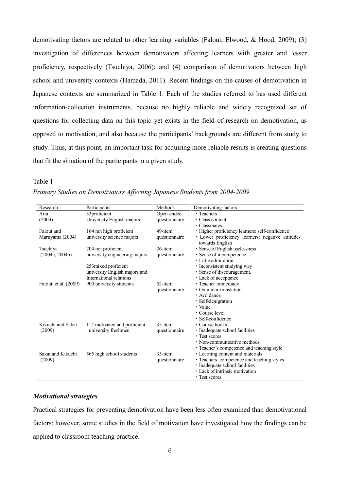demotivating factors are related to other learning variables (Falout, Elwood, & Hood, 2009); (3) investigation of differences between demotivators affecting learners with greater and lesser proficiency, respectively (Tsuchiya, 2006); and (4) comparison of demotivators between high school and university contexts (Hamada, 2011). Recent findings on the causes of demotivation in Japanese contexts are summarized in Table 1. Each of the studies referred to has used different information-collection instruments, because no highly reliable and widely recognized set of questions for collecting data on this topic yet exists in the field of research on demotivation, as opposed to motivation, and also because the participants' backgrounds are different from study to study. Thus, at this point, an important task for acquiring more reliable results is creating questions that fit the situation of the participants in a given study.

#### Research Participants Methods Demotivating factors Arai (2004) 33proficient University English majors Open-ended questionnaire ・Teachers ・Class content ・Classmates Falout and Maruyama (2004) 164 not high proficient university science majors 49-item questionnaire ・Higher proficiency learners: self-confidence ・ Lower proficiency learners: negative attitudes towards English Tsuchiya (2004a, 2004b) 204 not proficient university engineering majors 253mixed proficient university English majors and International relations 26-item questionnaire ・Sense of English uselessness ・Sense of incompetence ・Little admiration ・Inconsistent studying way ・Sense of discouragement. ・Lack of acceptance Falout, et al. (2009) 900 university students 52-item questionnaire ・Teacher immediacy ・Grammar-translation ・Avoidance ・Self-denigration ・Value ・Course level ・Self-confidence Kikuchi and Sakai (2009) 112 motivated and proficient university freshmen 35-item questionnaire ・Course books ・Inadequate school facilities ・Test scores ・Non-communicative methods ・Teacher's competence and teaching style Sakai and Kikuchi (2009) 565 high school students 35-item questionnaire ・Learning content and materials ・Teachers' competence and teaching styles ・Inadequate school facilities ・Lack of intrinsic motivation ・Test scores

#### *Primary Studies on Demotivators Affecting Japanese Students from 2004-2009*

#### *Motivational strategies*

Table 1

Practical strategies for preventing demotivation have been less often examined than demotivational factors; however, some studies in the field of motivation have investigated how the findings can be applied to classroom teaching practice.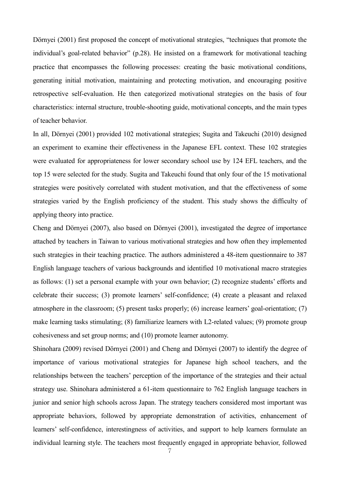Dörnyei (2001) first proposed the concept of motivational strategies, "techniques that promote the individual's goal-related behavior" (p.28). He insisted on a framework for motivational teaching practice that encompasses the following processes: creating the basic motivational conditions, generating initial motivation, maintaining and protecting motivation, and encouraging positive retrospective self-evaluation. He then categorized motivational strategies on the basis of four characteristics: internal structure, trouble-shooting guide, motivational concepts, and the main types of teacher behavior.

In all, Dörnyei (2001) provided 102 motivational strategies; Sugita and Takeuchi (2010) designed an experiment to examine their effectiveness in the Japanese EFL context. These 102 strategies were evaluated for appropriateness for lower secondary school use by 124 EFL teachers, and the top 15 were selected for the study. Sugita and Takeuchi found that only four of the 15 motivational strategies were positively correlated with student motivation, and that the effectiveness of some strategies varied by the English proficiency of the student. This study shows the difficulty of applying theory into practice.

Cheng and Dörnyei (2007), also based on Dörnyei (2001), investigated the degree of importance attached by teachers in Taiwan to various motivational strategies and how often they implemented such strategies in their teaching practice. The authors administered a 48-item questionnaire to 387 English language teachers of various backgrounds and identified 10 motivational macro strategies as follows: (1) set a personal example with your own behavior; (2) recognize students' efforts and celebrate their success; (3) promote learners' self-confidence; (4) create a pleasant and relaxed atmosphere in the classroom; (5) present tasks properly; (6) increase learners' goal-orientation; (7) make learning tasks stimulating; (8) familiarize learners with L2-related values; (9) promote group cohesiveness and set group norms; and (10) promote learner autonomy.

Shinohara (2009) revised Dörnyei (2001) and Cheng and Dörnyei (2007) to identify the degree of importance of various motivational strategies for Japanese high school teachers, and the relationships between the teachers' perception of the importance of the strategies and their actual strategy use. Shinohara administered a 61-item questionnaire to 762 English language teachers in junior and senior high schools across Japan. The strategy teachers considered most important was appropriate behaviors, followed by appropriate demonstration of activities, enhancement of learners' self-confidence, interestingness of activities, and support to help learners formulate an individual learning style. The teachers most frequently engaged in appropriate behavior, followed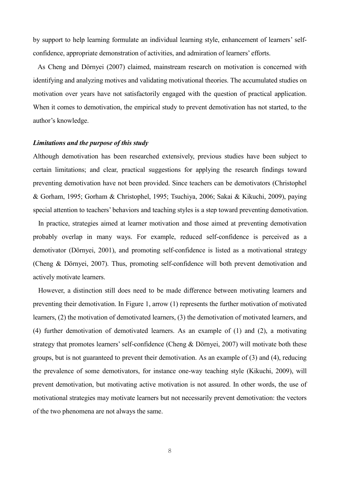by support to help learning formulate an individual learning style, enhancement of learners' selfconfidence, appropriate demonstration of activities, and admiration of learners' efforts.

 As Cheng and Dörnyei (2007) claimed, mainstream research on motivation is concerned with identifying and analyzing motives and validating motivational theories. The accumulated studies on motivation over years have not satisfactorily engaged with the question of practical application. When it comes to demotivation, the empirical study to prevent demotivation has not started, to the author's knowledge.

#### *Limitations and the purpose of this study*

Although demotivation has been researched extensively, previous studies have been subject to certain limitations; and clear, practical suggestions for applying the research findings toward preventing demotivation have not been provided. Since teachers can be demotivators (Christophel & Gorham, 1995; Gorham & Christophel, 1995; Tsuchiya, 2006; Sakai & Kikuchi, 2009), paying special attention to teachers' behaviors and teaching styles is a step toward preventing demotivation.

In practice, strategies aimed at learner motivation and those aimed at preventing demotivation probably overlap in many ways. For example, reduced self-confidence is perceived as a demotivator (Dörnyei, 2001), and promoting self-confidence is listed as a motivational strategy (Cheng & Dörnyei, 2007). Thus, promoting self-confidence will both prevent demotivation and actively motivate learners.

However, a distinction still does need to be made difference between motivating learners and preventing their demotivation. In Figure 1, arrow (1) represents the further motivation of motivated learners, (2) the motivation of demotivated learners, (3) the demotivation of motivated learners, and (4) further demotivation of demotivated learners. As an example of (1) and (2), a motivating strategy that promotes learners' self-confidence (Cheng & Dörnyei, 2007) will motivate both these groups, but is not guaranteed to prevent their demotivation. As an example of (3) and (4), reducing the prevalence of some demotivators, for instance one-way teaching style (Kikuchi, 2009), will prevent demotivation, but motivating active motivation is not assured. In other words, the use of motivational strategies may motivate learners but not necessarily prevent demotivation: the vectors of the two phenomena are not always the same.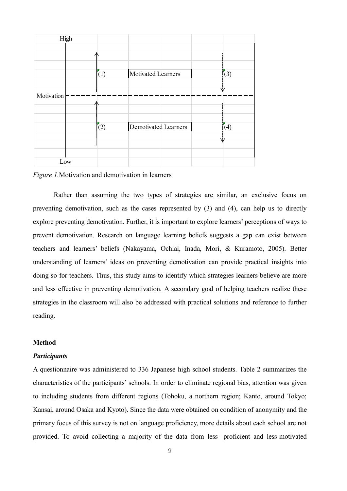|            | High |            |                      |     |                 |
|------------|------|------------|----------------------|-----|-----------------|
|            |      |            |                      |     |                 |
|            |      |            |                      |     |                 |
|            |      |            |                      |     |                 |
|            |      | (1)        | Motivated Learners   |     | $\sqrt{(3)}$    |
|            |      |            |                      |     |                 |
| Motivation |      |            |                      | ۱i/ |                 |
|            |      |            |                      |     |                 |
|            |      |            |                      |     |                 |
|            |      |            |                      |     |                 |
|            |      | $\sqrt{2}$ | Demotivated Learners |     | $\sqrt[3]{(4)}$ |
|            |      |            |                      |     |                 |
|            |      |            |                      |     |                 |
|            |      |            |                      |     |                 |
|            | Low  |            |                      |     |                 |

*Figure 1.*Motivation and demotivation in learners

Rather than assuming the two types of strategies are similar, an exclusive focus on preventing demotivation, such as the cases represented by (3) and (4), can help us to directly explore preventing demotivation. Further, it is important to explore learners' perceptions of ways to prevent demotivation. Research on language learning beliefs suggests a gap can exist between teachers and learners' beliefs (Nakayama, Ochiai, Inada, Mori, & Kuramoto, 2005). Better understanding of learners' ideas on preventing demotivation can provide practical insights into doing so for teachers. Thus, this study aims to identify which strategies learners believe are more and less effective in preventing demotivation. A secondary goal of helping teachers realize these strategies in the classroom will also be addressed with practical solutions and reference to further reading.

#### **Method**

#### *Participants*

A questionnaire was administered to 336 Japanese high school students. Table 2 summarizes the characteristics of the participants' schools. In order to eliminate regional bias, attention was given to including students from different regions (Tohoku, a northern region; Kanto, around Tokyo; Kansai, around Osaka and Kyoto). Since the data were obtained on condition of anonymity and the primary focus of this survey is not on language proficiency, more details about each school are not provided. To avoid collecting a majority of the data from less- proficient and less-motivated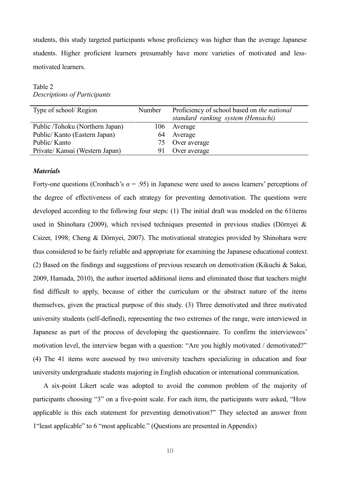students, this study targeted participants whose proficiency was higher than the average Japanese students. Higher proficient learners presumably have more varieties of motivated and lessmotivated learners.

Table 2 *Descriptions of Participants*

| Type of school/Region           | Number | Proficiency of school based on the national |
|---------------------------------|--------|---------------------------------------------|
|                                 |        | standard ranking system (Hensachi)          |
| Public /Tohoku (Northern Japan) | 106    | Average                                     |
| Public/ Kanto (Eastern Japan)   | 64     | Average                                     |
| Public/Kanto                    |        | 75 Over average                             |
| Private/ Kansai (Western Japan) | 91.    | Over average                                |
|                                 |        |                                             |

#### *Materials*

Forty-one questions (Cronbach's  $\alpha$  = .95) in Japanese were used to assess learners' perceptions of the degree of effectiveness of each strategy for preventing demotivation. The questions were developed according to the following four steps: (1) The initial draft was modeled on the 61items used in Shinohara (2009), which revised techniques presented in previous studies (Dörnyei & Csizer, 1998; Cheng & Dörnyei, 2007). The motivational strategies provided by Shinohara were thus considered to be fairly reliable and appropriate for examining the Japanese educational context. (2) Based on the findings and suggestions of previous research on demotivation (Kikuchi & Sakai, 2009, Hamada, 2010), the author inserted additional items and eliminated those that teachers might find difficult to apply, because of either the curriculum or the abstract nature of the items themselves, given the practical purpose of this study. (3) Three demotivated and three motivated university students (self-defined), representing the two extremes of the range, were interviewed in Japanese as part of the process of developing the questionnaire. To confirm the interviewees' motivation level, the interview began with a question: "Are you highly motivated / demotivated?" (4) The 41 items were assessed by two university teachers specializing in education and four university undergraduate students majoring in English education or international communication.

A six-point Likert scale was adopted to avoid the common problem of the majority of participants choosing "3" on a five-point scale. For each item, the participants were asked, "How applicable is this each statement for preventing demotivation?" They selected an answer from 1"least applicable" to 6 "most applicable." (Questions are presented in Appendix)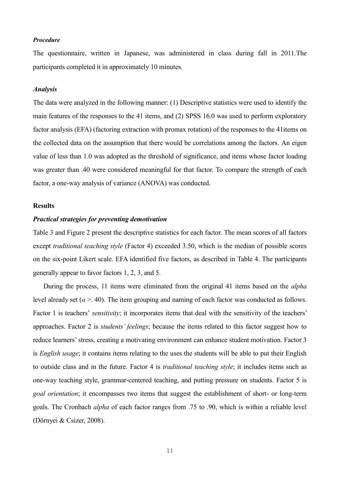#### *Procedure*

The questionnaire, written in Japanese, was administered in class during fall in 2011.The participants completed it in approximately 10 minutes.

#### *Analysis*

The data were analyzed in the following manner: (1) Descriptive statistics were used to identify the main features of the responses to the 41 items, and (2) SPSS 16.0 was used to perform exploratory factor analysis (EFA) (factoring extraction with promax rotation) of the responses to the 41items on the collected data on the assumption that there would be correlations among the factors. An eigen value of less than 1.0 was adopted as the threshold of significance, and items whose factor loading was greater than .40 were considered meaningful for that factor. To compare the strength of each factor, a one-way analysis of variance (ANOVA) was conducted.

#### **Results**

#### *Practical strategies for preventing demotivation*

Table 3 and Figure 2 present the descriptive statistics for each factor. The mean scores of all factors except *traditional teaching style* (Factor 4) exceeded 3.50, which is the median of possible scores on the six-point Likert scale. EFA identified five factors, as described in Table 4. The participants generally appear to favor factors 1, 2, 3, and 5.

During the process, 11 items were eliminated from the original 41 items based on the *alpha* level already set ( $\alpha$  >. 40). The item grouping and naming of each factor was conducted as follows. Factor 1 is teachers' *sensitivity*; it incorporates items that deal with the sensitivity of the teachers' approaches. Factor 2 is *students' feelings*; because the items related to this factor suggest how to reduce learners'stress, creating a motivating environment can enhance student motivation. Factor 3 is *English usage*; it contains items relating to the uses the students will be able to put their English to outside class and in the future. Factor 4 is *traditional teaching style*; it includes items such as one-way teaching style, grammar-centered teaching, and putting pressure on students. Factor 5 is *goal orientation*; it encompasses two items that suggest the establishment of short- or long-term goals. The Cronbach *alpha* of each factor ranges from .75 to .90, which is within a reliable level (Dörnyei & Csizer, 2008).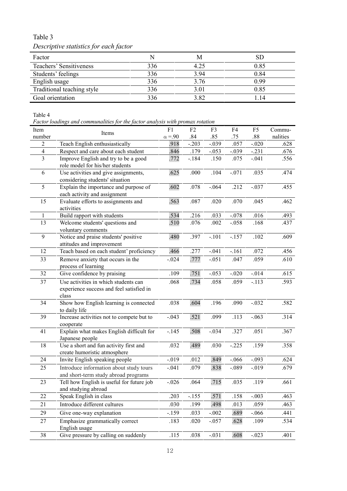# Table 3 *Descriptive statistics for each factor*

| Factor                     | N   |      | SD   |
|----------------------------|-----|------|------|
| Teachers' Sensitiveness    | 336 | 4.25 | 0.85 |
| Students' feelings         | 336 | 3.94 | 0.84 |
| English usage              | 336 | 3.76 | 0.99 |
| Traditional teaching style | 336 | 3.01 | 0.85 |
| Goal orientation           | 336 | 3.82 | .14  |

Table 4

*Factor loadings and communalities for the factor analysis with promax rotation* 

| Item           |                                                                | F1            | F <sub>2</sub> | F3           | F4                 | F <sub>5</sub> | Commu-       |
|----------------|----------------------------------------------------------------|---------------|----------------|--------------|--------------------|----------------|--------------|
| number         | Items                                                          | $\alpha = 90$ | .84            | .85          | .75                | .88            | nalities     |
| $\overline{c}$ | Teach English enthusiastically                                 | .918          | $-.203$        | $-.039$      | .057               | $-.020$        | .628         |
| $\overline{4}$ | Respect and care about each student                            | .846          | .179           | $-.053$      | $-.039$            | $-.231$        | .676         |
| $\overline{3}$ | Improve English and try to be a good                           | .772          | $-.184$        | .150         | .075               | $-.041$        | .556         |
|                | role model for his/her students                                |               |                |              |                    |                |              |
| 6              | Use activities and give assignments,                           | .625          | .000           | .104         | $-.071$            | .035           | .474         |
|                | considering students' situation                                |               |                |              |                    |                |              |
| 5              | Explain the importance and purpose of                          | .602          | .078           | $-.064$      | .212               | $-.037$        | .455         |
|                | each activity and assignment                                   |               |                |              |                    |                |              |
| 15             | Evaluate efforts to assignments and                            | .563          | .087           | .020         | .070               | .045           | .462         |
|                | activities                                                     |               |                |              |                    |                |              |
| 1<br>13        | Build rapport with students<br>Welcome students' questions and | .534<br>.510  | .216<br>.076   | .033<br>.002 | $-.078$<br>$-.058$ | .016<br>.168   | .493<br>.437 |
|                | voluntary comments                                             |               |                |              |                    |                |              |
| 9              | Notice and praise students' positive                           | .480          | .397           | $-.101$      | $-.157$            | .102           | .609         |
|                | attitudes and improvement                                      |               |                |              |                    |                |              |
| 12             | Teach based on each student' proficiency                       | .466          | .277           | $-.041$      | $-161$             | .072           | .456         |
| 33             | Remove anxiety that occurs in the                              | $-0.024$      | .777           | $-.051$      | .047               | .059           | .610         |
|                | process of learning                                            |               |                |              |                    |                |              |
| 32             | Give confidence by praising                                    | .109          | .751           | $-.053$      | $-.020$            | $-0.014$       | .615         |
| 37             | Use activities in which students can                           | .068          | .734           | .058         | .059               | $-.113$        | .593         |
|                | experience success and feel satisfied in                       |               |                |              |                    |                |              |
|                | class                                                          |               |                |              |                    |                |              |
| 34             | Show how English learning is connected                         | .038          | .604           | .196         | .090               | $-.032$        | .582         |
|                | to daily life                                                  |               |                |              |                    |                |              |
| 39             | Increase activities not to compete but to                      | $-.043$       | .521           | .099         | .113               | $-.063$        | .314         |
|                | cooperate                                                      |               |                |              |                    |                |              |
| 41             | Explain what makes English difficult for                       | $-145$        | .508           | $-.034$      | .327               | .051           | .367         |
|                | Japanese people                                                |               |                |              |                    |                |              |
| 18             | Use a short and fun activity first and                         | .032          | .489           | .030         | $-.225$            | .159           | .358         |
|                | create humoristic atmosphere                                   |               |                |              |                    |                |              |
| 24             | Invite English speaking people                                 | $-019$        | .012           | .849         | $-0.066$           | $-.093$        | .624         |
| 25             | Introduce information about study tours                        | $-.041$       | .079           | .838         | $-.089$            | $-0.019$       | .679         |
|                | and short-term study abroad programs                           |               |                |              |                    |                |              |
| 23             | Tell how English is useful for future job                      | $-.026$       | .064           | .715         | .035               | .119           | .661         |
| 22             | and studying abroad<br>Speak English in class                  | .203          | $-155$         | .571         | .158               | $-.003$        | .463         |
|                | Introduce different cultures                                   |               |                |              |                    |                |              |
| 21             |                                                                | .030          | .199           | .498         | .013               | .059           | .463         |
| 29             | Give one-way explanation                                       | $-159$        | .033           | $-.002$      | .689               | $-.066$        | .441         |
| 27             | Emphasize grammatically correct                                | .183          | .020           | $-0.057$     | .628               | .109           | .534         |
|                | English usage                                                  |               |                |              |                    |                |              |
| 38             | Give pressure by calling on suddenly                           | .115          | .038           | $-.031$      | .608               | $-.023$        | .401         |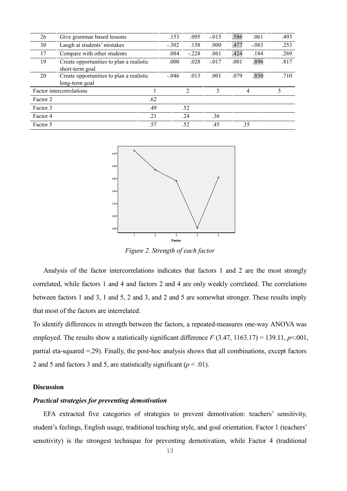| 26       | Give grammar based lessons                                  |         | .153    | .095           | $-.015$ | .586    | .061 | .493 |
|----------|-------------------------------------------------------------|---------|---------|----------------|---------|---------|------|------|
| 30       | Laugh at students' mistakes                                 | $-.302$ | .158    | .000           | .477    | $-.083$ | .253 |      |
| 17       | Compare with other students                                 |         | .084    | $-.228$        | .061    | .424    | .184 | .269 |
| 19       | Create opportunities to plan a realistic<br>short-term goal | .000    | .028    | $-.017$        | .001    | .896    | .817 |      |
| 20       | Create opportunities to plan a realistic<br>long-term goal  |         | $-.046$ | .013           | .001    | .079    | .830 | .710 |
|          | Factor intercorrelations                                    |         |         | $\overline{2}$ | 3       |         | 4    | 5    |
| Factor 2 |                                                             | .62     |         |                |         |         |      |      |
| Factor 3 |                                                             | .49     |         | .52            |         |         |      |      |
| Factor 4 |                                                             | .21     |         | .24            | .36     |         |      |      |
| Factor 5 |                                                             | .57     |         | .52            | .45     |         | .35  |      |



*Figure 2*. *Strength of each factor*

Analysis of the factor intercorrelations indicates that factors 1 and 2 are the most strongly correlated, while factors 1 and 4 and factors 2 and 4 are only weakly correlated. The correlations between factors 1 and 3, 1 and 5, 2 and 3, and 2 and 5 are somewhat stronger. These results imply that most of the factors are interrelated.

To identify differences in strength between the factors, a repeated-measures one-way ANOVA was employed. The results show a statistically significant difference *F* (3.47, 1163.17) = 139.11, *p*<.001, partial eta-squared =.29). Finally, the post-hoc analysis shows that all combinations, except factors 2 and 5 and factors 3 and 5, are statistically significant  $(p < .01)$ .

#### **Discussion**

#### *Practical strategies for preventing demotivation*

EFA extracted five categories of strategies to prevent demotivation: teachers' sensitivity, student's feelings, English usage, traditional teaching style, and goal orientation. Factor 1 (teachers' sensitivity) is the strongest technique for preventing demotivation, while Factor 4 (traditional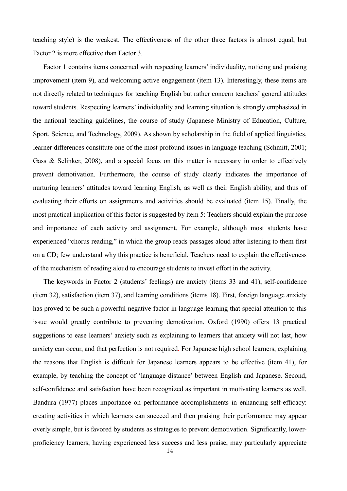teaching style) is the weakest. The effectiveness of the other three factors is almost equal, but Factor 2 is more effective than Factor 3.

Factor 1 contains items concerned with respecting learners' individuality, noticing and praising improvement (item 9), and welcoming active engagement (item 13). Interestingly, these items are not directly related to techniques for teaching English but rather concern teachers' general attitudes toward students. Respecting learners' individuality and learning situation is strongly emphasized in the national teaching guidelines, the course of study (Japanese Ministry of Education, Culture, Sport, Science, and Technology, 2009). As shown by scholarship in the field of applied linguistics, learner differences constitute one of the most profound issues in language teaching (Schmitt, 2001; Gass & Selinker, 2008), and a special focus on this matter is necessary in order to effectively prevent demotivation. Furthermore, the course of study clearly indicates the importance of nurturing learners' attitudes toward learning English, as well as their English ability, and thus of evaluating their efforts on assignments and activities should be evaluated (item 15). Finally, the most practical implication of this factor is suggested by item 5: Teachers should explain the purpose and importance of each activity and assignment. For example, although most students have experienced "chorus reading," in which the group reads passages aloud after listening to them first on a CD; few understand why this practice is beneficial. Teachers need to explain the effectiveness of the mechanism of reading aloud to encourage students to invest effort in the activity.

The keywords in Factor 2 (students' feelings) are anxiety (items 33 and 41), self-confidence (item 32), satisfaction (item 37), and learning conditions (items 18). First, foreign language anxiety has proved to be such a powerful negative factor in language learning that special attention to this issue would greatly contribute to preventing demotivation. Oxford (1990) offers 13 practical suggestions to ease learners' anxiety such as explaining to learners that anxiety will not last, how anxiety can occur, and that perfection is not required. For Japanese high school learners, explaining the reasons that English is difficult for Japanese learners appears to be effective (item 41), for example, by teaching the concept of 'language distance' between English and Japanese. Second, self-confidence and satisfaction have been recognized as important in motivating learners as well. Bandura (1977) places importance on performance accomplishments in enhancing self-efficacy: creating activities in which learners can succeed and then praising their performance may appear overly simple, but is favored by students as strategies to prevent demotivation. Significantly, lowerproficiency learners, having experienced less success and less praise, may particularly appreciate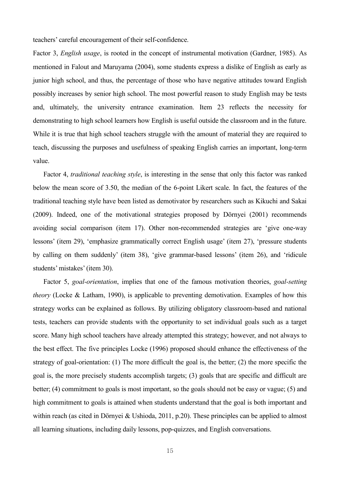teachers' careful encouragement of their self-confidence.

Factor 3, *English usage*, is rooted in the concept of instrumental motivation (Gardner, 1985). As mentioned in Falout and Maruyama (2004), some students express a dislike of English as early as junior high school, and thus, the percentage of those who have negative attitudes toward English possibly increases by senior high school. The most powerful reason to study English may be tests and, ultimately, the university entrance examination. Item 23 reflects the necessity for demonstrating to high school learners how English is useful outside the classroom and in the future. While it is true that high school teachers struggle with the amount of material they are required to teach, discussing the purposes and usefulness of speaking English carries an important, long-term value.

Factor 4, *traditional teaching style*, is interesting in the sense that only this factor was ranked below the mean score of 3.50, the median of the 6-point Likert scale. In fact, the features of the traditional teaching style have been listed as demotivator by researchers such as Kikuchi and Sakai (2009). Indeed, one of the motivational strategies proposed by Dörnyei (2001) recommends avoiding social comparison (item 17). Other non-recommended strategies are 'give one-way lessons' (item 29), 'emphasize grammatically correct English usage' (item 27), 'pressure students by calling on them suddenly' (item 38), 'give grammar-based lessons' (item 26), and 'ridicule students' mistakes'(item 30).

Factor 5, *goal-orientation*, implies that one of the famous motivation theories, *goal-setting theory* (Locke & Latham, 1990), is applicable to preventing demotivation. Examples of how this strategy works can be explained as follows. By utilizing obligatory classroom-based and national tests, teachers can provide students with the opportunity to set individual goals such as a target score. Many high school teachers have already attempted this strategy; however, and not always to the best effect. The five principles Locke (1996) proposed should enhance the effectiveness of the strategy of goal-orientation: (1) The more difficult the goal is, the better; (2) the more specific the goal is, the more precisely students accomplish targets; (3) goals that are specific and difficult are better; (4) commitment to goals is most important, so the goals should not be easy or vague; (5) and high commitment to goals is attained when students understand that the goal is both important and within reach (as cited in Dörnyei & Ushioda, 2011, p.20). These principles can be applied to almost all learning situations, including daily lessons, pop-quizzes, and English conversations.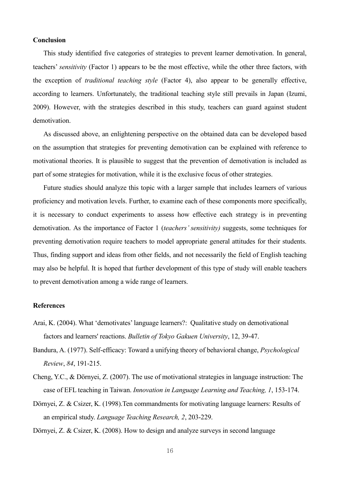#### **Conclusion**

This study identified five categories of strategies to prevent learner demotivation. In general, teachers' *sensitivity* (Factor 1) appears to be the most effective, while the other three factors, with the exception of *traditional teaching style* (Factor 4), also appear to be generally effective, according to learners. Unfortunately, the traditional teaching style still prevails in Japan (Izumi, 2009). However, with the strategies described in this study, teachers can guard against student demotivation.

As discussed above, an enlightening perspective on the obtained data can be developed based on the assumption that strategies for preventing demotivation can be explained with reference to motivational theories. It is plausible to suggest that the prevention of demotivation is included as part of some strategies for motivation, while it is the exclusive focus of other strategies.

Future studies should analyze this topic with a larger sample that includes learners of various proficiency and motivation levels. Further, to examine each of these components more specifically, it is necessary to conduct experiments to assess how effective each strategy is in preventing demotivation. As the importance of Factor 1 (*teachers' sensitivity)* suggests, some techniques for preventing demotivation require teachers to model appropriate general attitudes for their students. Thus, finding support and ideas from other fields, and not necessarily the field of English teaching may also be helpful. It is hoped that further development of this type of study will enable teachers to prevent demotivation among a wide range of learners.

#### **References**

- Arai, K. (2004). What 'demotivates' language learners?: Qualitative study on demotivational factors and learners' reactions. *Bulletin of Tokyo Gakuen University*, 12, 39-47.
- Bandura, A. (1977). Self-efficacy: Toward a unifying theory of behavioral change, *Psychological Review*, *84*, 191-215.
- Cheng, Y.C., & Dörnyei, Z. (2007). The use of motivational strategies in language instruction: The case of EFL teaching in Taiwan. *Innovation in Language Learning and Teaching, 1*, 153-174.
- Dörnyei, Z. & Csizer, K. (1998).Ten commandments for motivating language learners: Results of an empirical study. *Language Teaching Research, 2*, 203-229.

Dörnyei, Z. & Csizer, K. (2008). How to design and analyze surveys in second language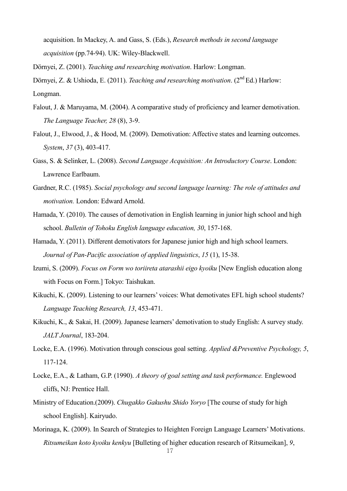acquisition. In Mackey, A. and Gass, S. (Eds.), *Research methods in second language acquisition* (pp.74-94). UK: Wiley-Blackwell.

Dörnyei, Z. (2001). *Teaching and researching motivation*. Harlow: Longman.

Dörnyei, Z. & Ushioda, E. (2011). *Teaching and researching motivation*. (2<sup>nd</sup> Ed.) Harlow: Longman.

- Falout, J. & Maruyama, M. (2004). A comparative study of proficiency and learner demotivation. *The Language Teacher, 28* (8), 3-9.
- Falout, J., Elwood, J., & Hood, M. (2009). Demotivation: Affective states and learning outcomes. *System*, *37* (3), 403-417.
- Gass, S. & Selinker, L. (2008). *Second Language Acquisition: An Introductory Course*. London: Lawrence Earlbaum.
- Gardner, R.C. (1985). *Social psychology and second language learning: The role of attitudes and motivation.* London: Edward Arnold.
- Hamada, Y. (2010). The causes of demotivation in English learning in junior high school and high school. *Bulletin of Tohoku English language education, 30*, 157-168.
- Hamada, Y. (2011). Different demotivators for Japanese junior high and high school learners. *Journal of Pan-Pacific association of applied linguistics*, *15* (1), 15-38.
- Izumi, S. (2009). *Focus on Form wo toriireta atarashii eigo kyoiku* [New English education along with Focus on Form.] Tokyo: Taishukan.
- Kikuchi, K. (2009). Listening to our learners' voices: What demotivates EFL high school students? *Language Teaching Research, 13*, 453-471.
- Kikuchi, K., & Sakai, H. (2009). Japanese learners' demotivation to study English: A survey study. *JALT Journal*, 183-204.
- Locke, E.A. (1996). Motivation through conscious goal setting. *Applied &Preventive Psychology, 5*, 117-124.
- Locke, E.A., & Latham, G.P. (1990). *A theory of goal setting and task performance.* Englewood cliffs, NJ: Prentice Hall.
- Ministry of Education.(2009). *Chugakko Gakushu Shido Yoryo* [The course of study for high school English]. Kairyudo.
- Morinaga, K. (2009). In Search of Strategies to Heighten Foreign Language Learners' Motivations. *Ritsumeikan koto kyoiku kenkyu* [Bulleting of higher education research of Ritsumeikan], *9*,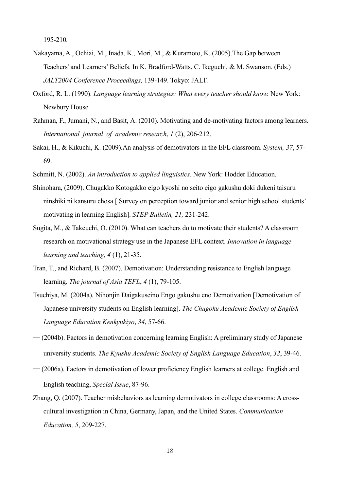195-210*.*

- Nakayama, A., Ochiai, M., Inada, K., Mori, M., & Kuramoto, K. (2005).The Gap between Teachers' and Learners' Beliefs. In K. Bradford-Watts, C. Ikeguchi, & M. Swanson. (Eds.) *JALT2004 Conference Proceedings,* 139-149. Tokyo: JALT.
- Oxford, R. L. (1990). *Language learning strategies: What every teacher should know.* New York: Newbury House.
- Rahman, F., Jumani, N., and Basit, A. (2010). Motivating and de-motivating factors among learners. *International journal of academic research*, *1* (2), 206-212.
- Sakai, H., & Kikuchi, K. (2009).An analysis of demotivators in the EFL classroom. *System, 37*, 57- 69.
- Schmitt, N. (2002). *An introduction to applied linguistics.* New York: Hodder Education.
- Shinohara, (2009). Chugakko Kotogakko eigo kyoshi no seito eigo gakushu doki dukeni taisuru ninshiki ni kansuru chosa [ Survey on perception toward junior and senior high school students' motivating in learning English]. *STEP Bulletin, 21,* 231-242.
- Sugita, M., & Takeuchi, O. (2010). What can teachers do to motivate their students? A classroom research on motivational strategy use in the Japanese EFL context. *Innovation in language learning and teaching, 4* (1), 21-35.
- Tran, T., and Richard, B. (2007). Demotivation: Understanding resistance to English language learning. *The journal of Asia TEFL*, *4* (1), 79-105.
- Tsuchiya, M. (2004a). Nihonjin Daigakuseino Engo gakushu eno Demotivation [Demotivation of Japanese university students on English learning]. *The Chugoku Academic Society of English Language Education Kenkyukiyo*, *34*, 57-66.
- ― (2004b). Factors in demotivation concerning learning English: A preliminary study of Japanese university students. *The Kyushu Academic Society of English Language Education*, *32*, 39-46.
- ― (2006a). Factors in demotivation of lower proficiency English learners at college. English and English teaching, *Special Issue*, 87-96.
- Zhang, Q. (2007). Teacher misbehaviors as learning demotivators in college classrooms: A crosscultural investigation in China, Germany, Japan, and the United States. *Communication Education, 5*, 209-227.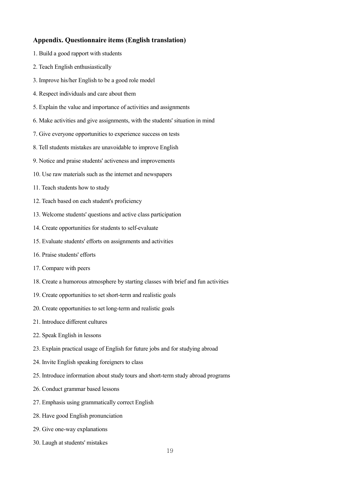#### **Appendix. Questionnaire items (English translation)**

- 1. Build a good rapport with students
- 2. Teach English enthusiastically
- 3. Improve his/her English to be a good role model
- 4. Respect individuals and care about them
- 5. Explain the value and importance of activities and assignments
- 6. Make activities and give assignments, with the students' situation in mind
- 7. Give everyone opportunities to experience success on tests
- 8. Tell students mistakes are unavoidable to improve English
- 9. Notice and praise students' activeness and improvements
- 10. Use raw materials such as the internet and newspapers
- 11. Teach students how to study
- 12. Teach based on each student's proficiency
- 13. Welcome students' questions and active class participation
- 14. Create opportunities for students to self-evaluate
- 15. Evaluate students' efforts on assignments and activities
- 16. Praise students' efforts
- 17. Compare with peers
- 18. Create a humorous atmosphere by starting classes with brief and fun activities
- 19. Create opportunities to set short-term and realistic goals
- 20. Create opportunities to set long-term and realistic goals
- 21. Introduce different cultures
- 22. Speak English in lessons
- 23. Explain practical usage of English for future jobs and for studying abroad
- 24. Invite English speaking foreigners to class
- 25. Introduce information about study tours and short-term study abroad programs
- 26. Conduct grammar based lessons
- 27. Emphasis using grammatically correct English
- 28. Have good English pronunciation
- 29. Give one-way explanations
- 30. Laugh at students' mistakes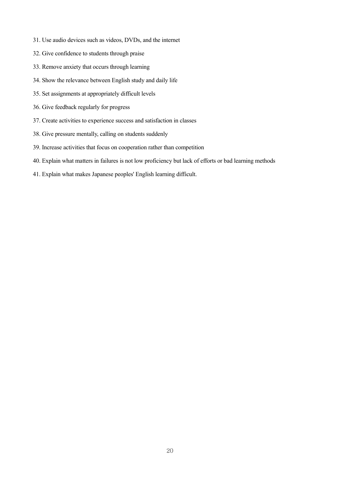- 31. Use audio devices such as videos, DVDs, and the internet
- 32. Give confidence to students through praise
- 33. Remove anxiety that occurs through learning
- 34. Show the relevance between English study and daily life
- 35. Set assignments at appropriately difficult levels
- 36. Give feedback regularly for progress
- 37. Create activities to experience success and satisfaction in classes
- 38. Give pressure mentally, calling on students suddenly
- 39. Increase activities that focus on cooperation rather than competition
- 40. Explain what matters in failures is not low proficiency but lack of efforts or bad learning methods
- 41. Explain what makes Japanese peoples' English learning difficult.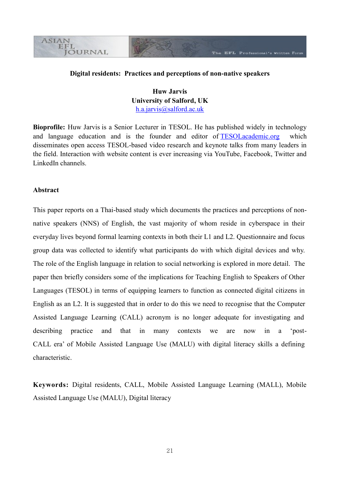#### **Digital residents: Practices and perceptions of non-native speakers**

**Huw Jarvis University of Salford, UK** [h.a.jarvis@salford.ac.uk](mailto:h.a.jarvis@salford.ac.uk)

**Bioprofile:** Huw Jarvis is a Senior Lecturer in TESOL. He has published widely in technology and language education and is the founder and editor of **TESOLacademic.org** which disseminates open access TESOL-based video research and keynote talks from many leaders in the field. Interaction with website content is ever increasing via YouTube, Facebook, Twitter and LinkedIn channels.

#### **Abstract**

**ASIAN** EFL

**JOURNAL** 

This paper reports on a Thai-based study which documents the practices and perceptions of nonnative speakers (NNS) of English, the vast majority of whom reside in cyberspace in their everyday lives beyond formal learning contexts in both their L1 and L2. Questionnaire and focus group data was collected to identify what participants do with which digital devices and why. The role of the English language in relation to social networking is explored in more detail. The paper then briefly considers some of the implications for Teaching English to Speakers of Other Languages (TESOL) in terms of equipping learners to function as connected digital citizens in English as an L2. It is suggested that in order to do this we need to recognise that the Computer Assisted Language Learning (CALL) acronym is no longer adequate for investigating and describing practice and that in many contexts we are now in a 'post-CALL era' of Mobile Assisted Language Use (MALU) with digital literacy skills a defining characteristic.

**Keywords:** Digital residents, CALL, Mobile Assisted Language Learning (MALL), Mobile Assisted Language Use (MALU), Digital literacy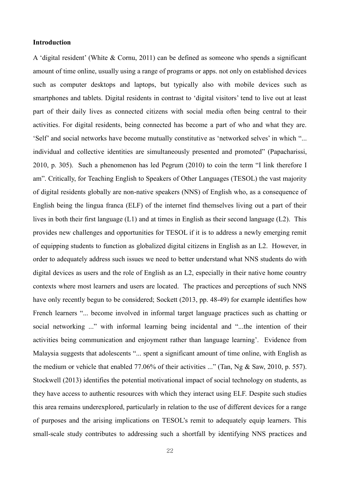#### **Introduction**

A 'digital resident' (White & Cornu, 2011) can be defined as someone who spends a significant amount of time online, usually using a range of programs or apps. not only on established devices such as computer desktops and laptops, but typically also with mobile devices such as smartphones and tablets. Digital residents in contrast to 'digital visitors' tend to live out at least part of their daily lives as connected citizens with social media often being central to their activities. For digital residents, being connected has become a part of who and what they are. 'Self' and social networks have become mutually constitutive as 'networked selves' in which "... individual and collective identities are simultaneously presented and promoted" (Papacharissi, 2010, p. 305). Such a phenomenon has led Pegrum (2010) to coin the term "I link therefore I am". Critically, for Teaching English to Speakers of Other Languages (TESOL) the vast majority of digital residents globally are non-native speakers (NNS) of English who, as a consequence of English being the lingua franca (ELF) of the internet find themselves living out a part of their lives in both their first language (L1) and at times in English as their second language (L2). This provides new challenges and opportunities for TESOL if it is to address a newly emerging remit of equipping students to function as globalized digital citizens in English as an L2. However, in order to adequately address such issues we need to better understand what NNS students do with digital devices as users and the role of English as an L2, especially in their native home country contexts where most learners and users are located. The practices and perceptions of such NNS have only recently begun to be considered; Sockett (2013, pp. 48-49) for example identifies how French learners "... become involved in informal target language practices such as chatting or social networking ..." with informal learning being incidental and "...the intention of their activities being communication and enjoyment rather than language learning'. Evidence from Malaysia suggests that adolescents "... spent a significant amount of time online, with English as the medium or vehicle that enabled 77.06% of their activities ..." (Tan, Ng & Saw, 2010, p. 557). Stockwell (2013) identifies the potential motivational impact of social technology on students, as they have access to authentic resources with which they interact using ELF. Despite such studies this area remains underexplored, particularly in relation to the use of different devices for a range of purposes and the arising implications on TESOL's remit to adequately equip learners. This small-scale study contributes to addressing such a shortfall by identifying NNS practices and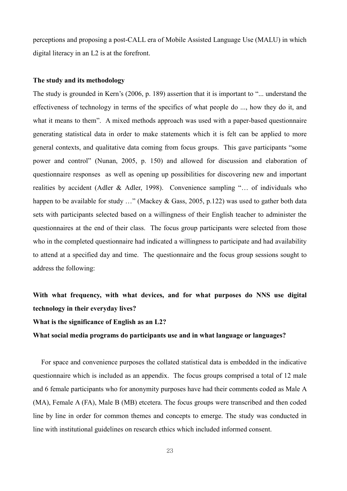perceptions and proposing a post-CALL era of Mobile Assisted Language Use (MALU) in which digital literacy in an L2 is at the forefront.

# **The study and its methodology**

The study is grounded in Kern's (2006, p. 189) assertion that it is important to "... understand the effectiveness of technology in terms of the specifics of what people do ..., how they do it, and what it means to them". A mixed methods approach was used with a paper-based questionnaire generating statistical data in order to make statements which it is felt can be applied to more general contexts, and qualitative data coming from focus groups. This gave participants "some power and control" (Nunan, 2005, p. 150) and allowed for discussion and elaboration of questionnaire responses as well as opening up possibilities for discovering new and important realities by accident (Adler & Adler, 1998). Convenience sampling "… of individuals who happen to be available for study ..." (Mackey & Gass, 2005, p.122) was used to gather both data sets with participants selected based on a willingness of their English teacher to administer the questionnaires at the end of their class. The focus group participants were selected from those who in the completed questionnaire had indicated a willingness to participate and had availability to attend at a specified day and time. The questionnaire and the focus group sessions sought to address the following:

# **With what frequency, with what devices, and for what purposes do NNS use digital technology in their everyday lives?**

#### **What is the significance of English as an L2?**

### **What social media programs do participants use and in what language or languages?**

For space and convenience purposes the collated statistical data is embedded in the indicative questionnaire which is included as an appendix. The focus groups comprised a total of 12 male and 6 female participants who for anonymity purposes have had their comments coded as Male A (MA), Female A (FA), Male B (MB) etcetera. The focus groups were transcribed and then coded line by line in order for common themes and concepts to emerge. The study was conducted in line with institutional guidelines on research ethics which included informed consent.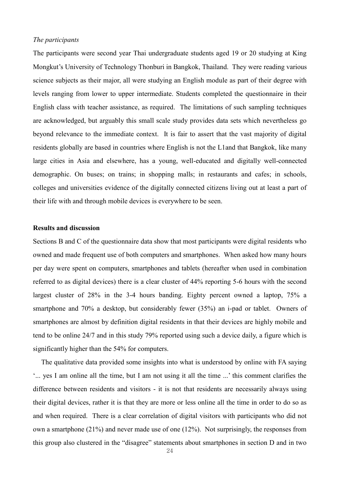#### *The participants*

The participants were second year Thai undergraduate students aged 19 or 20 studying at King Mongkut's University of Technology Thonburi in Bangkok, Thailand. They were reading various science subjects as their major, all were studying an English module as part of their degree with levels ranging from lower to upper intermediate. Students completed the questionnaire in their English class with teacher assistance, as required. The limitations of such sampling techniques are acknowledged, but arguably this small scale study provides data sets which nevertheless go beyond relevance to the immediate context. It is fair to assert that the vast majority of digital residents globally are based in countries where English is not the L1and that Bangkok, like many large cities in Asia and elsewhere, has a young, well-educated and digitally well-connected demographic. On buses; on trains; in shopping malls; in restaurants and cafes; in schools, colleges and universities evidence of the digitally connected citizens living out at least a part of their life with and through mobile devices is everywhere to be seen.

#### **Results and discussion**

Sections B and C of the questionnaire data show that most participants were digital residents who owned and made frequent use of both computers and smartphones. When asked how many hours per day were spent on computers, smartphones and tablets (hereafter when used in combination referred to as digital devices) there is a clear cluster of 44% reporting 5-6 hours with the second largest cluster of 28% in the 3-4 hours banding. Eighty percent owned a laptop, 75% a smartphone and 70% a desktop, but considerably fewer (35%) an i-pad or tablet. Owners of smartphones are almost by definition digital residents in that their devices are highly mobile and tend to be online 24/7 and in this study 79% reported using such a device daily, a figure which is significantly higher than the 54% for computers.

The qualitative data provided some insights into what is understood by online with FA saying '... yes I am online all the time, but I am not using it all the time ...' this comment clarifies the difference between residents and visitors - it is not that residents are necessarily always using their digital devices, rather it is that they are more or less online all the time in order to do so as and when required. There is a clear correlation of digital visitors with participants who did not own a smartphone (21%) and never made use of one (12%). Not surprisingly, the responses from this group also clustered in the "disagree" statements about smartphones in section D and in two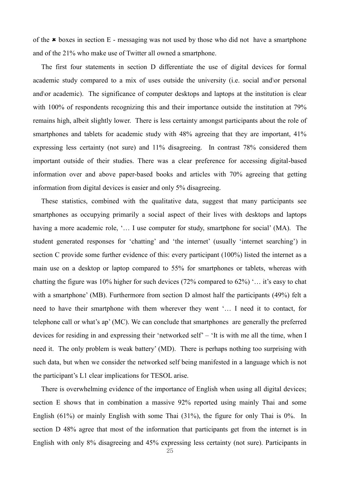of the  $\star$  boxes in section E - messaging was not used by those who did not have a smartphone and of the 21% who make use of Twitter all owned a smartphone.

The first four statements in section D differentiate the use of digital devices for formal academic study compared to a mix of uses outside the university (i.e. social and\or personal and\or academic). The significance of computer desktops and laptops at the institution is clear with 100% of respondents recognizing this and their importance outside the institution at 79% remains high, albeit slightly lower. There is less certainty amongst participants about the role of smartphones and tablets for academic study with 48% agreeing that they are important, 41% expressing less certainty (not sure) and 11% disagreeing. In contrast 78% considered them important outside of their studies. There was a clear preference for accessing digital-based information over and above paper-based books and articles with 70% agreeing that getting information from digital devices is easier and only 5% disagreeing.

These statistics, combined with the qualitative data, suggest that many participants see smartphones as occupying primarily a social aspect of their lives with desktops and laptops having a more academic role, '... I use computer for study, smartphone for social' (MA). The student generated responses for 'chatting' and 'the internet' (usually 'internet searching') in section C provide some further evidence of this: every participant (100%) listed the internet as a main use on a desktop or laptop compared to 55% for smartphones or tablets, whereas with chatting the figure was 10% higher for such devices (72% compared to 62%) '… it's easy to chat with a smartphone' (MB). Furthermore from section D almost half the participants (49%) felt a need to have their smartphone with them wherever they went '… I need it to contact, for telephone call or what's ap' (MC). We can conclude that smartphones are generally the preferred devices for residing in and expressing their 'networked self' – 'It is with me all the time, when I need it. The only problem is weak battery' (MD). There is perhaps nothing too surprising with such data, but when we consider the networked self being manifested in a language which is not the participant's L1 clear implications for TESOL arise.

There is overwhelming evidence of the importance of English when using all digital devices; section E shows that in combination a massive 92% reported using mainly Thai and some English (61%) or mainly English with some Thai (31%), the figure for only Thai is 0%. In section D 48% agree that most of the information that participants get from the internet is in English with only 8% disagreeing and 45% expressing less certainty (not sure). Participants in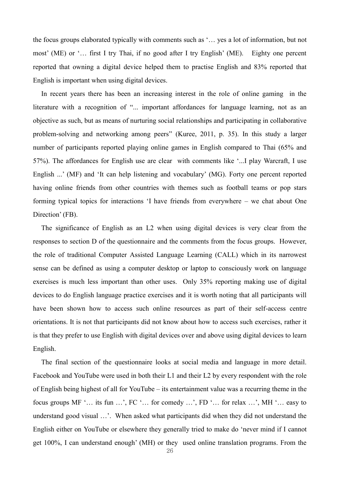the focus groups elaborated typically with comments such as '… yes a lot of information, but not most' (ME) or '… first I try Thai, if no good after I try English' (ME). Eighty one percent reported that owning a digital device helped them to practise English and 83% reported that English is important when using digital devices.

In recent years there has been an increasing interest in the role of online gaming in the literature with a recognition of "... important affordances for language learning, not as an objective as such, but as means of nurturing social relationships and participating in collaborative problem-solving and networking among peers" (Kuree, 2011, p. 35). In this study a larger number of participants reported playing online games in English compared to Thai (65% and 57%). The affordances for English use are clear with comments like '...I play Warcraft, I use English ...' (MF) and 'It can help listening and vocabulary' (MG). Forty one percent reported having online friends from other countries with themes such as football teams or pop stars forming typical topics for interactions 'I have friends from everywhere – we chat about One Direction' (FB).

The significance of English as an L2 when using digital devices is very clear from the responses to section D of the questionnaire and the comments from the focus groups. However, the role of traditional Computer Assisted Language Learning (CALL) which in its narrowest sense can be defined as using a computer desktop or laptop to consciously work on language exercises is much less important than other uses. Only 35% reporting making use of digital devices to do English language practice exercises and it is worth noting that all participants will have been shown how to access such online resources as part of their self-access centre orientations. It is not that participants did not know about how to access such exercises, rather it is that they prefer to use English with digital devices over and above using digital devices to learn English.

The final section of the questionnaire looks at social media and language in more detail. Facebook and YouTube were used in both their L1 and their L2 by every respondent with the role of English being highest of all for YouTube – its entertainment value was a recurring theme in the focus groups MF '… its fun …', FC '… for comedy …', FD '… for relax …', MH '… easy to understand good visual …'. When asked what participants did when they did not understand the English either on YouTube or elsewhere they generally tried to make do 'never mind if I cannot get 100%, I can understand enough' (MH) or they used online translation programs. From the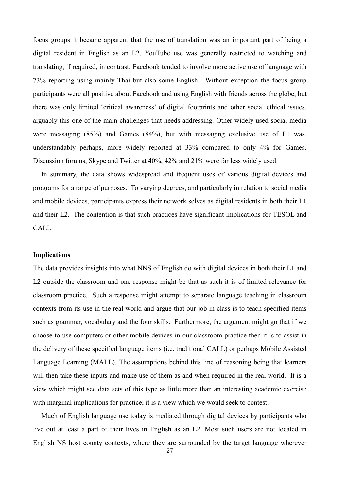focus groups it became apparent that the use of translation was an important part of being a digital resident in English as an L2. YouTube use was generally restricted to watching and translating, if required, in contrast, Facebook tended to involve more active use of language with 73% reporting using mainly Thai but also some English. Without exception the focus group participants were all positive about Facebook and using English with friends across the globe, but there was only limited 'critical awareness' of digital footprints and other social ethical issues, arguably this one of the main challenges that needs addressing. Other widely used social media were messaging (85%) and Games (84%), but with messaging exclusive use of L1 was, understandably perhaps, more widely reported at 33% compared to only 4% for Games. Discussion forums, Skype and Twitter at 40%, 42% and 21% were far less widely used.

 In summary, the data shows widespread and frequent uses of various digital devices and programs for a range of purposes. To varying degrees, and particularly in relation to social media and mobile devices, participants express their network selves as digital residents in both their L1 and their L2. The contention is that such practices have significant implications for TESOL and CALL.

#### **Implications**

The data provides insights into what NNS of English do with digital devices in both their L1 and L2 outside the classroom and one response might be that as such it is of limited relevance for classroom practice. Such a response might attempt to separate language teaching in classroom contexts from its use in the real world and argue that our job in class is to teach specified items such as grammar, vocabulary and the four skills. Furthermore, the argument might go that if we choose to use computers or other mobile devices in our classroom practice then it is to assist in the delivery of these specified language items (i.e. traditional CALL) or perhaps Mobile Assisted Language Learning (MALL). The assumptions behind this line of reasoning being that learners will then take these inputs and make use of them as and when required in the real world. It is a view which might see data sets of this type as little more than an interesting academic exercise with marginal implications for practice; it is a view which we would seek to contest.

Much of English language use today is mediated through digital devices by participants who live out at least a part of their lives in English as an L2. Most such users are not located in English NS host county contexts, where they are surrounded by the target language wherever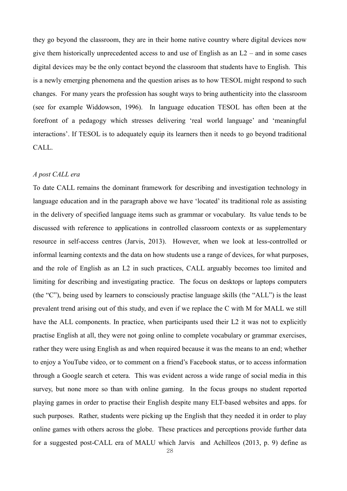they go beyond the classroom, they are in their home native country where digital devices now give them historically unprecedented access to and use of English as an  $L2$  – and in some cases digital devices may be the only contact beyond the classroom that students have to English. This is a newly emerging phenomena and the question arises as to how TESOL might respond to such changes. For many years the profession has sought ways to bring authenticity into the classroom (see for example Widdowson, 1996). In language education TESOL has often been at the forefront of a pedagogy which stresses delivering 'real world language' and 'meaningful interactions'. If TESOL is to adequately equip its learners then it needs to go beyond traditional CALL.

#### *A post CALL era*

To date CALL remains the dominant framework for describing and investigation technology in language education and in the paragraph above we have 'located' its traditional role as assisting in the delivery of specified language items such as grammar or vocabulary. Its value tends to be discussed with reference to applications in controlled classroom contexts or as supplementary resource in self-access centres (Jarvis, 2013). However, when we look at less-controlled or informal learning contexts and the data on how students use a range of devices, for what purposes, and the role of English as an L2 in such practices, CALL arguably becomes too limited and limiting for describing and investigating practice. The focus on desktops or laptops computers (the "C"), being used by learners to consciously practise language skills (the "ALL") is the least prevalent trend arising out of this study, and even if we replace the C with M for MALL we still have the ALL components. In practice, when participants used their L2 it was not to explicitly practise English at all, they were not going online to complete vocabulary or grammar exercises, rather they were using English as and when required because it was the means to an end; whether to enjoy a YouTube video, or to comment on a friend's Facebook status, or to access information through a Google search et cetera. This was evident across a wide range of social media in this survey, but none more so than with online gaming. In the focus groups no student reported playing games in order to practise their English despite many ELT-based websites and apps. for such purposes. Rather, students were picking up the English that they needed it in order to play online games with others across the globe. These practices and perceptions provide further data for a suggested post-CALL era of MALU which Jarvis and Achilleos (2013, p. 9) define as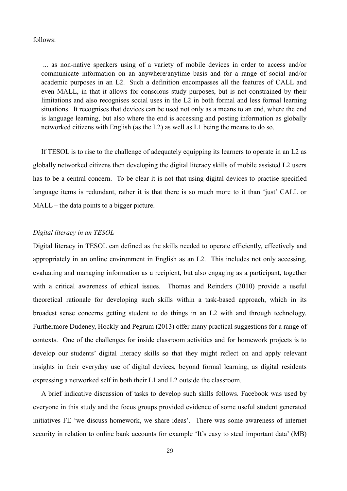#### follows:

... as non-native speakers using of a variety of mobile devices in order to access and/or communicate information on an anywhere/anytime basis and for a range of social and/or academic purposes in an L2. Such a definition encompasses all the features of CALL and even MALL, in that it allows for conscious study purposes, but is not constrained by their limitations and also recognises social uses in the L2 in both formal and less formal learning situations. It recognises that devices can be used not only as a means to an end, where the end is language learning, but also where the end is accessing and posting information as globally networked citizens with English (as the L2) as well as L1 being the means to do so.

If TESOL is to rise to the challenge of adequately equipping its learners to operate in an L2 as globally networked citizens then developing the digital literacy skills of mobile assisted L2 users has to be a central concern. To be clear it is not that using digital devices to practise specified language items is redundant, rather it is that there is so much more to it than 'just' CALL or MALL – the data points to a bigger picture.

#### *Digital literacy in an TESOL*

Digital literacy in TESOL can defined as the skills needed to operate efficiently, effectively and appropriately in an online environment in English as an L2. This includes not only accessing, evaluating and managing information as a recipient, but also engaging as a participant, together with a critical awareness of ethical issues. Thomas and Reinders (2010) provide a useful theoretical rationale for developing such skills within a task-based approach, which in its broadest sense concerns getting student to do things in an L2 with and through technology. Furthermore Dudeney, Hockly and Pegrum (2013) offer many practical suggestions for a range of contexts. One of the challenges for inside classroom activities and for homework projects is to develop our students' digital literacy skills so that they might reflect on and apply relevant insights in their everyday use of digital devices, beyond formal learning, as digital residents expressing a networked self in both their L1 and L2 outside the classroom.

A brief indicative discussion of tasks to develop such skills follows. Facebook was used by everyone in this study and the focus groups provided evidence of some useful student generated initiatives FE 'we discuss homework, we share ideas'. There was some awareness of internet security in relation to online bank accounts for example 'It's easy to steal important data' (MB)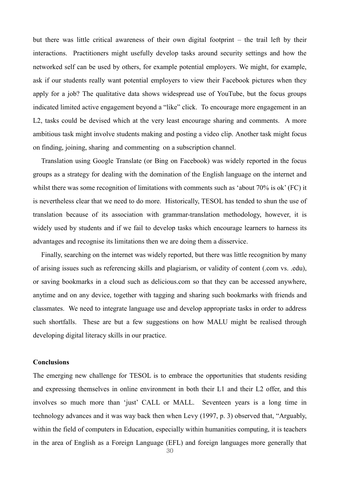but there was little critical awareness of their own digital footprint – the trail left by their interactions. Practitioners might usefully develop tasks around security settings and how the networked self can be used by others, for example potential employers. We might, for example, ask if our students really want potential employers to view their Facebook pictures when they apply for a job? The qualitative data shows widespread use of YouTube, but the focus groups indicated limited active engagement beyond a "like" click. To encourage more engagement in an L2, tasks could be devised which at the very least encourage sharing and comments. A more ambitious task might involve students making and posting a video clip. Another task might focus on finding, joining, sharing and commenting on a subscription channel.

Translation using Google Translate (or Bing on Facebook) was widely reported in the focus groups as a strategy for dealing with the domination of the English language on the internet and whilst there was some recognition of limitations with comments such as 'about 70% is ok' (FC) it is nevertheless clear that we need to do more. Historically, TESOL has tended to shun the use of translation because of its association with grammar-translation methodology, however, it is widely used by students and if we fail to develop tasks which encourage learners to harness its advantages and recognise its limitations then we are doing them a disservice.

Finally, searching on the internet was widely reported, but there was little recognition by many of arising issues such as referencing skills and plagiarism, or validity of content (.com vs. .edu), or saving bookmarks in a cloud such as delicious.com so that they can be accessed anywhere, anytime and on any device, together with tagging and sharing such bookmarks with friends and classmates. We need to integrate language use and develop appropriate tasks in order to address such shortfalls. These are but a few suggestions on how MALU might be realised through developing digital literacy skills in our practice.

#### **Conclusions**

The emerging new challenge for TESOL is to embrace the opportunities that students residing and expressing themselves in online environment in both their L1 and their L2 offer, and this involves so much more than 'just' CALL or MALL. Seventeen years is a long time in technology advances and it was way back then when Levy (1997, p. 3) observed that, "Arguably, within the field of computers in Education, especially within humanities computing, it is teachers in the area of English as a Foreign Language (EFL) and foreign languages more generally that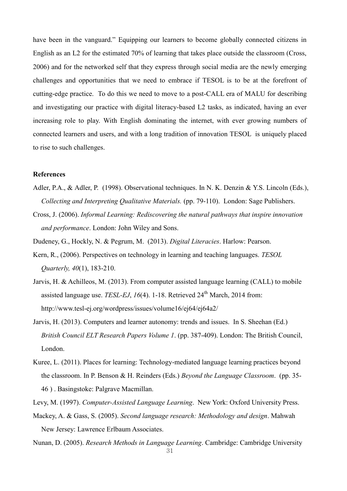have been in the vanguard." Equipping our learners to become globally connected citizens in English as an L2 for the estimated 70% of learning that takes place outside the classroom (Cross, 2006) and for the networked self that they express through social media are the newly emerging challenges and opportunities that we need to embrace if TESOL is to be at the forefront of cutting-edge practice. To do this we need to move to a post-CALL era of MALU for describing and investigating our practice with digital literacy-based L2 tasks, as indicated, having an ever increasing role to play. With English dominating the internet, with ever growing numbers of connected learners and users, and with a long tradition of innovation TESOL is uniquely placed to rise to such challenges.

#### **References**

- Adler, P.A., & Adler, P. (1998). Observational techniques. In N. K. Denzin & Y.S. Lincoln (Eds.), *Collecting and Interpreting Qualitative Materials.* (pp. 79-110). London: Sage Publishers.
- Cross, J. (2006). *Informal Learning: Rediscovering the natural pathways that inspire innovation and performance*. London: John Wiley and Sons.
- Dudeney, G., Hockly, N. & Pegrum, M. (2013). *Digital Literacies*. Harlow: Pearson.
- Kern, R., (2006). Perspectives on technology in learning and teaching languages. *TESOL Quarterly, 40*(1), 183-210.
- Jarvis, H. & Achilleos, M. (2013). From computer assisted language learning (CALL) to mobile assisted language use. *TESL-EJ*, *16*(4). 1-18. Retrieved 24<sup>th</sup> March, 2014 from: http://www.tesl-ej.org/wordpress/issues/volume16/ej64/ej64a2/
- Jarvis, H. (2013). Computers and learner autonomy: trends and issues. In S. Sheehan (Ed.) *British Council ELT Research Papers Volume 1*. (pp. 387-409). London: The British Council, London.
- Kuree, L. (2011). Places for learning: Technology-mediated language learning practices beyond the classroom. In P. Benson & H. Reinders (Eds.) *Beyond the Language Classroom*. (pp. 35- 46 ) . Basingstoke: Palgrave Macmillan.
- Levy, M. (1997). *Computer-Assisted Language Learning*. New York: Oxford University Press.
- Mackey, A. & Gass, S. (2005). *Second language research: Methodology and design*. Mahwah New Jersey: Lawrence Erlbaum Associates.
- 31 Nunan, D. (2005). *Research Methods in Language Learning*. Cambridge: Cambridge University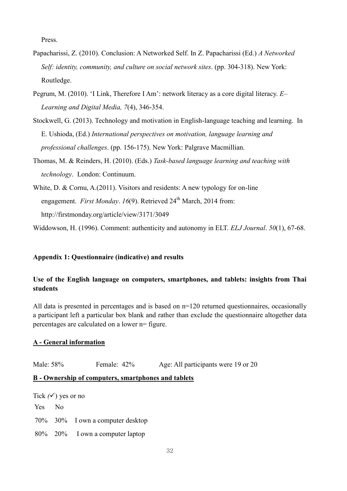Press.

- Papacharissi, Z. (2010). Conclusion: A Networked Self. In Z. Papacharissi (Ed.) *A Networked Self: identity, community, and culture on social network sites*. (pp. 304-318). New York: Routledge.
- Pegrum, M. (2010). 'I Link, Therefore I Am': network literacy as a core digital literacy. *E– Learning and Digital Media, 7*(4), 346-354.
- Stockwell, G. (2013). Technology and motivation in English-language teaching and learning. In E. Ushioda, (Ed.) *International perspectives on motivation, language learning and professional challenges*. (pp. 156-175). New York: Palgrave Macmillian.
- Thomas, M. & Reinders, H. (2010). (Eds.) *Task-based language learning and teaching with technology*. London: Continuum.
- White, D. & Cornu, A.(2011). Visitors and residents: A new typology for on-line engagement. *First Monday.* 16(9). Retrieved 24<sup>th</sup> March, 2014 from: http://firstmonday.org/article/view/3171/3049

Widdowson, H. (1996). Comment: authenticity and autonomy in ELT. *ELJ Journal*. *50*(1), 67-68.

#### **Appendix 1: Questionnaire (indicative) and results**

# **Use of the English language on computers, smartphones, and tablets: insights from Thai students**

All data is presented in percentages and is based on  $n=120$  returned questionnaires, occasionally a participant left a particular box blank and rather than exclude the questionnaire altogether data percentages are calculated on a lower n= figure.

#### **A - General information**

Male: 58% Female: 42% Age: All participants were 19 or 20

#### **B - Ownership of computers, smartphones and tablets**

Tick  $(\checkmark)$  yes or no

Yes No

70% 30% I own a computer desktop

80% 20% I own a computer laptop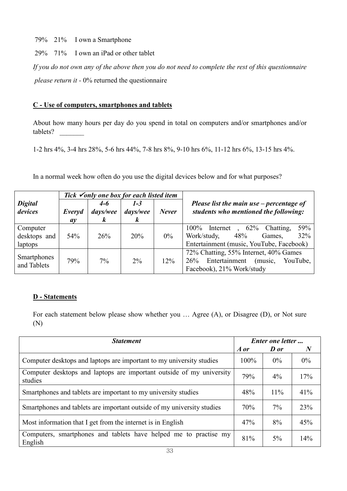79% 21% I own a Smartphone

29% 71% I own an iPad or other tablet

*If you do not own any of the above then you do not need to complete the rest of this questionnaire please return it -* 0% returned the questionnaire

# **C - Use of computers, smartphones and tablets**

About how many hours per day do you spend in total on computers and/or smartphones and/or tablets? \_\_\_\_\_\_\_

1-2 hrs 4%, 3-4 hrs 28%, 5-6 hrs 44%, 7-8 hrs 8%, 9-10 hrs 6%, 11-12 hrs 6%, 13-15 hrs 4%.

In a normal week how often do you use the digital devices below and for what purposes?

|                                     |                 |                                         | Tick $\checkmark$ only one box for each listed item |              |                                                                                                                                        |  |  |  |
|-------------------------------------|-----------------|-----------------------------------------|-----------------------------------------------------|--------------|----------------------------------------------------------------------------------------------------------------------------------------|--|--|--|
| <b>Digital</b><br>devices           | Everyd<br>ay    | $4 - 6$<br>days/wee<br>$\boldsymbol{k}$ | $1 - 3$<br>days/wee<br>$\boldsymbol{k}$             | <b>Never</b> | Please list the main use $-$ percentage of<br>students who mentioned the following:                                                    |  |  |  |
| Computer<br>desktops and<br>laptops | 54 <sup>%</sup> | 26%                                     | 20%                                                 | $0\%$        | 59%<br>$100\%$<br>$, 62\%$<br>Chatting,<br>Internet<br>32%<br>Work/study,<br>48%<br>Games,<br>Entertainment (music, YouTube, Facebook) |  |  |  |
| Smartphones<br>and Tablets          | 79%             | $7\%$                                   | $2\%$                                               | 12%          | 72% Chatting, 55% Internet, 40% Games<br>Entertainment<br>26%<br>(music,<br>YouTube,<br>Facebook), 21% Work/study                      |  |  |  |

# **D - Statements**

For each statement below please show whether you … Agree (A), or Disagree (D), or Not sure (N)

| <b>Statement</b>                                                                | Enter one letter |       |          |  |
|---------------------------------------------------------------------------------|------------------|-------|----------|--|
|                                                                                 | A or             | D or  | $\bm{N}$ |  |
| Computer desktops and laptops are important to my university studies            | $100\%$          | $0\%$ | $0\%$    |  |
| Computer desktops and laptops are important outside of my university<br>studies | 79%              | $4\%$ | 17%      |  |
| Smartphones and tablets are important to my university studies                  | 48%              | 11%   | 41%      |  |
| Smartphones and tablets are important outside of my university studies          | 70%              | $7\%$ | 23%      |  |
| Most information that I get from the internet is in English                     | 47%              | 8%    | 45%      |  |
| Computers, smartphones and tablets have helped me to practise my<br>English     | 81%              | $5\%$ | 14%      |  |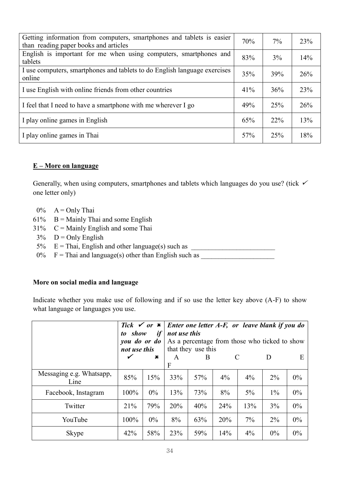| Getting information from computers, smartphones and tablets is easier<br>than reading paper books and articles | 70%    | 7%  | 23% |
|----------------------------------------------------------------------------------------------------------------|--------|-----|-----|
| English is important for me when using computers, smartphones and<br>tablets                                   | 83%    | 3%  | 14% |
| I use computers, smartphones and tablets to do English language exercises<br>online                            | 35%    | 39% | 26% |
| I use English with online friends from other countries                                                         | $41\%$ | 36% | 23% |
| I feel that I need to have a smartphone with me wherever I go                                                  | 49%    | 25% | 26% |
| I play online games in English                                                                                 | 65%    | 22% | 13% |
| I play online games in Thai                                                                                    | 57%    | 25% | 18% |

# **E – More on language**

Generally, when using computers, smartphones and tablets which languages do you use? (tick  $\checkmark$ one letter only)

- $0\%$  A = Only Thai
- $61\%$  B = Mainly Thai and some English
- $31\%$  C = Mainly English and some Thai
- $3\%$  D = Only English
- 5% E = Thai, English and other language(s) such as \_\_\_\_\_\_\_\_\_\_\_\_\_\_\_\_\_\_\_\_\_\_\_\_
- $0\%$  F = Thai and language(s) other than English such as

#### **More on social media and language**

Indicate whether you make use of following and if so use the letter key above (A-F) to show what language or languages you use.

|                                  | Tick $\checkmark$ or $\checkmark$ |             |              |                    |       |     | Enter one letter A-F, or leave blank if you do |       |
|----------------------------------|-----------------------------------|-------------|--------------|--------------------|-------|-----|------------------------------------------------|-------|
|                                  | to show                           | if          | not use this |                    |       |     |                                                |       |
|                                  | you do or do                      |             |              |                    |       |     | As a percentage from those who ticked to show  |       |
|                                  | not use this                      |             |              | that they use this |       |     |                                                |       |
|                                  | ✔                                 | $\mathbf x$ | A            | B                  | C     |     | $\mathbf{D}$                                   | E     |
|                                  |                                   |             | F            |                    |       |     |                                                |       |
| Messaging e.g. Whatsapp,<br>Line | 85%                               | 15%         | 33%          | 57%                | $4\%$ | 4%  | $2\%$                                          | $0\%$ |
| Facebook, Instagram              | 100%                              | $0\%$       | 13%          | 73%                | 8%    | 5%  | $1\%$                                          | 0%    |
| Twitter                          | 21%                               | 79%         | 20%          | 40%                | 24%   | 13% | 3%                                             | $0\%$ |
| YouTube                          | 100%                              | $0\%$       | 8%           | 63%                | 20%   | 7%  | $2\%$                                          | $0\%$ |
| Skype                            | 42%                               | 58%         | 23%          | 59%                | 14%   | 4%  | 0%                                             | $0\%$ |